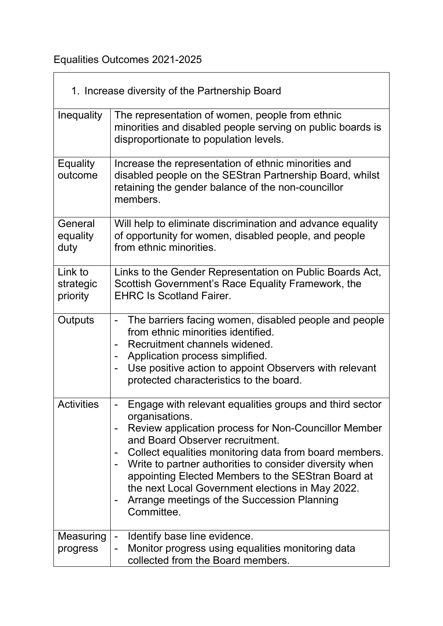## Equalities Outcomes 2021-2025

 $\mathbb{R}^n$ 

| 1. Increase diversity of the Partnership Board |                                                                                                                                                                                                                                                                                                                                                                                                                                                                  |  |
|------------------------------------------------|------------------------------------------------------------------------------------------------------------------------------------------------------------------------------------------------------------------------------------------------------------------------------------------------------------------------------------------------------------------------------------------------------------------------------------------------------------------|--|
| <b>Inequality</b>                              | The representation of women, people from ethnic<br>minorities and disabled people serving on public boards is<br>disproportionate to population levels.                                                                                                                                                                                                                                                                                                          |  |
| <b>Equality</b><br>outcome                     | Increase the representation of ethnic minorities and<br>disabled people on the SEStran Partnership Board, whilst<br>retaining the gender balance of the non-councillor<br>members.                                                                                                                                                                                                                                                                               |  |
| General<br>equality<br>duty                    | Will help to eliminate discrimination and advance equality<br>of opportunity for women, disabled people, and people<br>from ethnic minorities.                                                                                                                                                                                                                                                                                                                   |  |
| Link to<br>strategic<br>priority               | Links to the Gender Representation on Public Boards Act,<br>Scottish Government's Race Equality Framework, the<br><b>EHRC Is Scotland Fairer.</b>                                                                                                                                                                                                                                                                                                                |  |
| Outputs                                        | The barriers facing women, disabled people and people<br>$\overline{\phantom{0}}$<br>from ethnic minorities identified.<br>Recruitment channels widened.<br>Application process simplified.<br>Use positive action to appoint Observers with relevant<br>protected characteristics to the board.                                                                                                                                                                 |  |
| <b>Activities</b>                              | Engage with relevant equalities groups and third sector<br>organisations.<br>Review application process for Non-Councillor Member<br>and Board Observer recruitment.<br>Collect equalities monitoring data from board members.<br>Write to partner authorities to consider diversity when<br>appointing Elected Members to the SEStran Board at<br>the next Local Government elections in May 2022.<br>Arrange meetings of the Succession Planning<br>Committee. |  |
| Measuring<br>progress                          | Identify base line evidence.<br>Monitor progress using equalities monitoring data<br>-<br>collected from the Board members.                                                                                                                                                                                                                                                                                                                                      |  |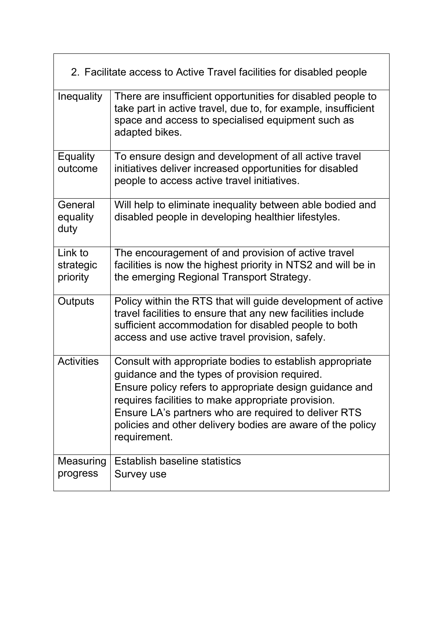| 2. Facilitate access to Active Travel facilities for disabled people |                                                                                                                                                                                                                                                                                                                                                                  |  |
|----------------------------------------------------------------------|------------------------------------------------------------------------------------------------------------------------------------------------------------------------------------------------------------------------------------------------------------------------------------------------------------------------------------------------------------------|--|
| <b>Inequality</b>                                                    | There are insufficient opportunities for disabled people to<br>take part in active travel, due to, for example, insufficient<br>space and access to specialised equipment such as<br>adapted bikes.                                                                                                                                                              |  |
| <b>Equality</b><br>outcome                                           | To ensure design and development of all active travel<br>initiatives deliver increased opportunities for disabled<br>people to access active travel initiatives.                                                                                                                                                                                                 |  |
| General<br>equality<br>duty                                          | Will help to eliminate inequality between able bodied and<br>disabled people in developing healthier lifestyles.                                                                                                                                                                                                                                                 |  |
| Link to<br>strategic<br>priority                                     | The encouragement of and provision of active travel<br>facilities is now the highest priority in NTS2 and will be in<br>the emerging Regional Transport Strategy.                                                                                                                                                                                                |  |
| Outputs                                                              | Policy within the RTS that will guide development of active<br>travel facilities to ensure that any new facilities include<br>sufficient accommodation for disabled people to both<br>access and use active travel provision, safely.                                                                                                                            |  |
| <b>Activities</b>                                                    | Consult with appropriate bodies to establish appropriate<br>guidance and the types of provision required.<br>Ensure policy refers to appropriate design guidance and<br>requires facilities to make appropriate provision.<br>Ensure LA's partners who are required to deliver RTS<br>policies and other delivery bodies are aware of the policy<br>requirement. |  |
| Measuring<br>progress                                                | Establish baseline statistics<br>Survey use                                                                                                                                                                                                                                                                                                                      |  |

 $\overline{\mathbf{u}}$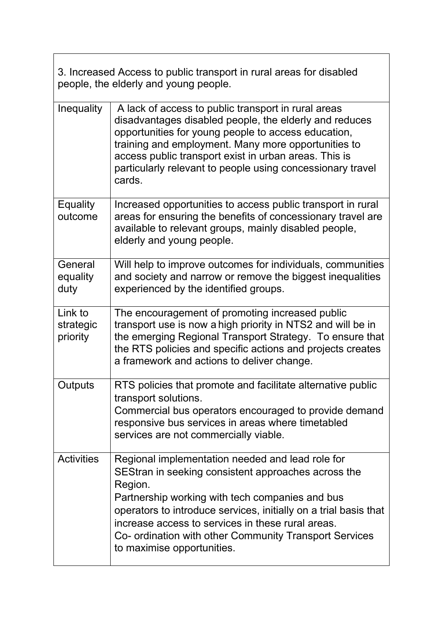| 3. Increased Access to public transport in rural areas for disabled |
|---------------------------------------------------------------------|
| people, the elderly and young people.                               |

| Inequality                       | A lack of access to public transport in rural areas<br>disadvantages disabled people, the elderly and reduces<br>opportunities for young people to access education,<br>training and employment. Many more opportunities to<br>access public transport exist in urban areas. This is<br>particularly relevant to people using concessionary travel<br>cards.                           |
|----------------------------------|----------------------------------------------------------------------------------------------------------------------------------------------------------------------------------------------------------------------------------------------------------------------------------------------------------------------------------------------------------------------------------------|
| <b>Equality</b><br>outcome       | Increased opportunities to access public transport in rural<br>areas for ensuring the benefits of concessionary travel are<br>available to relevant groups, mainly disabled people,<br>elderly and young people.                                                                                                                                                                       |
| General<br>equality<br>duty      | Will help to improve outcomes for individuals, communities<br>and society and narrow or remove the biggest inequalities<br>experienced by the identified groups.                                                                                                                                                                                                                       |
| Link to<br>strategic<br>priority | The encouragement of promoting increased public<br>transport use is now a high priority in NTS2 and will be in<br>the emerging Regional Transport Strategy. To ensure that<br>the RTS policies and specific actions and projects creates<br>a framework and actions to deliver change.                                                                                                 |
| Outputs                          | RTS policies that promote and facilitate alternative public<br>transport solutions.<br>Commercial bus operators encouraged to provide demand<br>responsive bus services in areas where timetabled<br>services are not commercially viable                                                                                                                                              |
| <b>Activities</b>                | Regional implementation needed and lead role for<br>SEStran in seeking consistent approaches across the<br>Region.<br>Partnership working with tech companies and bus<br>operators to introduce services, initially on a trial basis that<br>increase access to services in these rural areas.<br>Co- ordination with other Community Transport Services<br>to maximise opportunities. |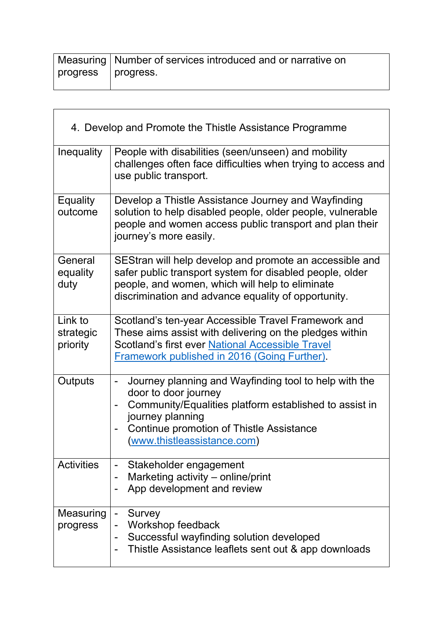|                    | Measuring   Number of services introduced and or narrative on |
|--------------------|---------------------------------------------------------------|
| progress progress. |                                                               |
|                    |                                                               |

 $\overline{\mathsf{L}}$ 

 $\overline{\Gamma}$ 

| 4. Develop and Promote the Thistle Assistance Programme |                                                                                                                                                                                                                                                                               |  |
|---------------------------------------------------------|-------------------------------------------------------------------------------------------------------------------------------------------------------------------------------------------------------------------------------------------------------------------------------|--|
| Inequality                                              | People with disabilities (seen/unseen) and mobility<br>challenges often face difficulties when trying to access and<br>use public transport.                                                                                                                                  |  |
| <b>Equality</b><br>outcome                              | Develop a Thistle Assistance Journey and Wayfinding<br>solution to help disabled people, older people, vulnerable<br>people and women access public transport and plan their<br>journey's more easily.                                                                        |  |
| General<br>equality<br>duty                             | SEStran will help develop and promote an accessible and<br>safer public transport system for disabled people, older<br>people, and women, which will help to eliminate<br>discrimination and advance equality of opportunity.                                                 |  |
| Link to<br>strategic<br>priority                        | Scotland's ten-year Accessible Travel Framework and<br>These aims assist with delivering on the pledges within<br>Scotland's first ever National Accessible Travel<br>Framework published in 2016 (Going Further).                                                            |  |
| Outputs                                                 | Journey planning and Wayfinding tool to help with the<br>$\qquad \qquad \blacksquare$<br>door to door journey<br>Community/Equalities platform established to assist in<br>journey planning<br><b>Continue promotion of Thistle Assistance</b><br>(www.thistleassistance.com) |  |
| <b>Activities</b>                                       | Stakeholder engagement<br>Marketing activity - online/print<br>App development and review                                                                                                                                                                                     |  |
| Measuring<br>progress                                   | Survey<br>$\blacksquare$<br>Workshop feedback<br>Successful wayfinding solution developed<br>Thistle Assistance leaflets sent out & app downloads                                                                                                                             |  |